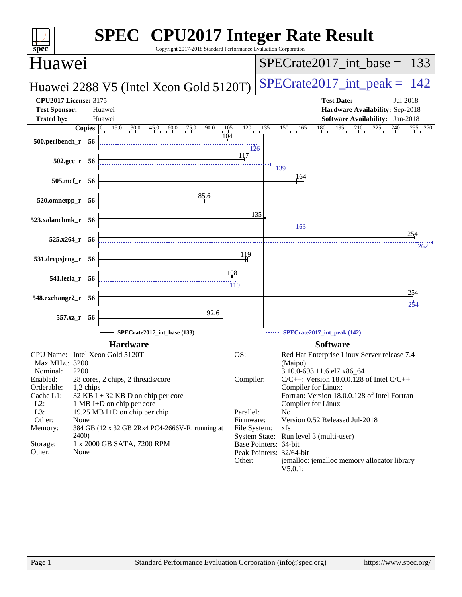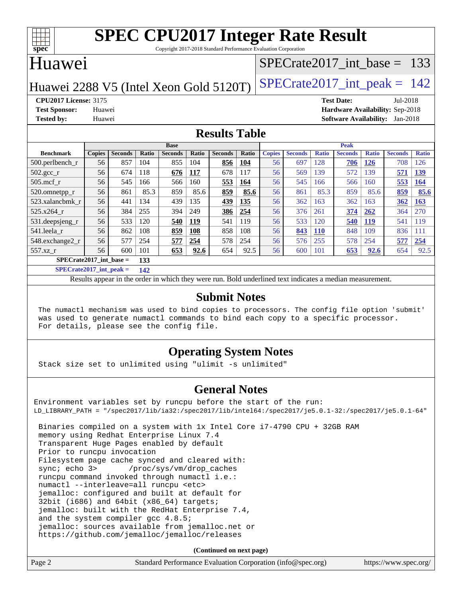

Copyright 2017-2018 Standard Performance Evaluation Corporation

### Huawei

#### [SPECrate2017\\_int\\_base =](http://www.spec.org/auto/cpu2017/Docs/result-fields.html#SPECrate2017intbase) 133

Huawei 2288 V5 (Intel Xeon Gold 5120T) SPECrate  $2017$ \_int\_peak = 142

**[CPU2017 License:](http://www.spec.org/auto/cpu2017/Docs/result-fields.html#CPU2017License)** 3175 **[Test Date:](http://www.spec.org/auto/cpu2017/Docs/result-fields.html#TestDate)** Jul-2018 **[Test Sponsor:](http://www.spec.org/auto/cpu2017/Docs/result-fields.html#TestSponsor)** Huawei **[Hardware Availability:](http://www.spec.org/auto/cpu2017/Docs/result-fields.html#HardwareAvailability)** Sep-2018 **[Tested by:](http://www.spec.org/auto/cpu2017/Docs/result-fields.html#Testedby)** Huawei **[Software Availability:](http://www.spec.org/auto/cpu2017/Docs/result-fields.html#SoftwareAvailability)** Jan-2018

#### **[Results Table](http://www.spec.org/auto/cpu2017/Docs/result-fields.html#ResultsTable)**

|                           | <b>Base</b>   |                |       |                | <b>Peak</b> |                |              |               |                |              |                |              |                |              |
|---------------------------|---------------|----------------|-------|----------------|-------------|----------------|--------------|---------------|----------------|--------------|----------------|--------------|----------------|--------------|
| <b>Benchmark</b>          | <b>Copies</b> | <b>Seconds</b> | Ratio | <b>Seconds</b> | Ratio       | <b>Seconds</b> | <b>Ratio</b> | <b>Copies</b> | <b>Seconds</b> | <b>Ratio</b> | <b>Seconds</b> | <b>Ratio</b> | <b>Seconds</b> | <b>Ratio</b> |
| $500$ .perlbench r        | 56            | 857            | 104   | 855            | 104         | 856            | 104          | 56            | 697            | 128          | 706            | 126          | 708            | 126          |
| 502.gcc_r                 | 56            | 674            | 118   | 676            | 117         | 678            | 117          | 56            | 569            | 139          | 572            | 139          | 571            | 139          |
| $505$ .mcf r              | 56            | 545            | 166   | 566            | 160         | 553            | 164          | 56            | 545            | 166          | 566            | 160          | 553            | 164          |
| 520.omnetpp_r             | 56            | 861            | 85.3  | 859            | 85.6        | 859            | 85.6         | 56            | 861            | 85.3         | 859            | 85.6         | 859            | 85.6         |
| 523.xalancbmk r           | 56            | 441            | 134   | 439            | 135         | 439            | 135          | 56            | 362            | 163          | 362            | 163          | 362            | <b>163</b>   |
| 525.x264 r                | 56            | 384            | 255   | 394            | 249         | 386            | 254          | 56            | 376            | 261          | 374            | 262          | 364            | 270          |
| 531.deepsjeng_r           | 56            | 533            | 120   | 540            | 119         | 541            | 119          | 56            | 533            | 120          | 540            | <b>119</b>   | 541            | 119          |
| 541.leela r               | 56            | 862            | 108   | 859            | 108         | 858            | 108          | 56            | 843            | <b>110</b>   | 848            | 109          | 836            | 111          |
| 548.exchange2_r           | 56            | 577            | 254   | 577            | 254         | 578            | 254          | 56            | 576            | 255          | 578            | 254          | 577            | 254          |
| $557.xz$ r                | 56            | 600            | 101   | 653            | 92.6        | 654            | 92.5         | 56            | 600            | 101          | 653            | 92.6         | 654            | 92.5         |
| $SPECrate2017$ int base = |               |                | 133   |                |             |                |              |               |                |              |                |              |                |              |

**[SPECrate2017\\_int\\_peak =](http://www.spec.org/auto/cpu2017/Docs/result-fields.html#SPECrate2017intpeak) 142**

Results appear in the [order in which they were run.](http://www.spec.org/auto/cpu2017/Docs/result-fields.html#RunOrder) Bold underlined text [indicates a median measurement.](http://www.spec.org/auto/cpu2017/Docs/result-fields.html#Median)

#### **[Submit Notes](http://www.spec.org/auto/cpu2017/Docs/result-fields.html#SubmitNotes)**

 The numactl mechanism was used to bind copies to processors. The config file option 'submit' was used to generate numactl commands to bind each copy to a specific processor. For details, please see the config file.

#### **[Operating System Notes](http://www.spec.org/auto/cpu2017/Docs/result-fields.html#OperatingSystemNotes)**

Stack size set to unlimited using "ulimit -s unlimited"

#### **[General Notes](http://www.spec.org/auto/cpu2017/Docs/result-fields.html#GeneralNotes)**

Environment variables set by runcpu before the start of the run: LD\_LIBRARY\_PATH = "/spec2017/lib/ia32:/spec2017/lib/intel64:/spec2017/je5.0.1-32:/spec2017/je5.0.1-64"

 Binaries compiled on a system with 1x Intel Core i7-4790 CPU + 32GB RAM memory using Redhat Enterprise Linux 7.4 Transparent Huge Pages enabled by default Prior to runcpu invocation Filesystem page cache synced and cleared with: sync; echo 3> /proc/sys/vm/drop\_caches runcpu command invoked through numactl i.e.: numactl --interleave=all runcpu <etc> jemalloc: configured and built at default for 32bit (i686) and 64bit (x86\_64) targets; jemalloc: built with the RedHat Enterprise 7.4, and the system compiler gcc 4.8.5; jemalloc: sources available from jemalloc.net or <https://github.com/jemalloc/jemalloc/releases>

**(Continued on next page)**

| Page 2 | Standard Performance Evaluation Corporation (info@spec.org) | https://www.spec.org/ |
|--------|-------------------------------------------------------------|-----------------------|
|        |                                                             |                       |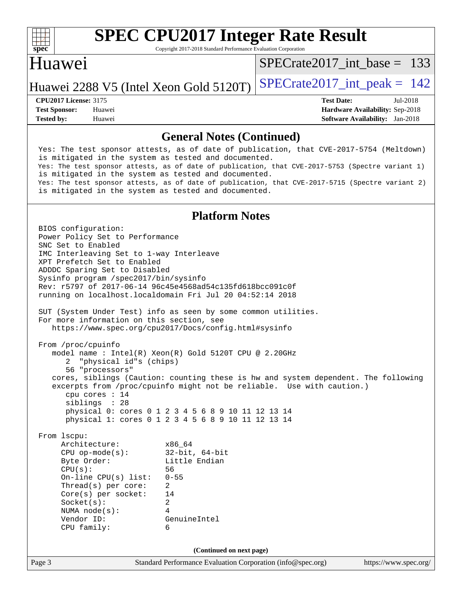

Copyright 2017-2018 Standard Performance Evaluation Corporation

### Huawei

[SPECrate2017\\_int\\_base =](http://www.spec.org/auto/cpu2017/Docs/result-fields.html#SPECrate2017intbase) 133

Huawei 2288 V5 (Intel Xeon Gold 5120T) SPECrate  $2017$ \_int\_peak = 142

**[Tested by:](http://www.spec.org/auto/cpu2017/Docs/result-fields.html#Testedby)** Huawei **[Software Availability:](http://www.spec.org/auto/cpu2017/Docs/result-fields.html#SoftwareAvailability)** Jan-2018

**[CPU2017 License:](http://www.spec.org/auto/cpu2017/Docs/result-fields.html#CPU2017License)** 3175 **[Test Date:](http://www.spec.org/auto/cpu2017/Docs/result-fields.html#TestDate)** Jul-2018 **[Test Sponsor:](http://www.spec.org/auto/cpu2017/Docs/result-fields.html#TestSponsor)** Huawei **[Hardware Availability:](http://www.spec.org/auto/cpu2017/Docs/result-fields.html#HardwareAvailability)** Sep-2018

#### **[General Notes \(Continued\)](http://www.spec.org/auto/cpu2017/Docs/result-fields.html#GeneralNotes)**

 Yes: The test sponsor attests, as of date of publication, that CVE-2017-5754 (Meltdown) is mitigated in the system as tested and documented. Yes: The test sponsor attests, as of date of publication, that CVE-2017-5753 (Spectre variant 1) is mitigated in the system as tested and documented. Yes: The test sponsor attests, as of date of publication, that CVE-2017-5715 (Spectre variant 2) is mitigated in the system as tested and documented.

#### **[Platform Notes](http://www.spec.org/auto/cpu2017/Docs/result-fields.html#PlatformNotes)**

Page 3 Standard Performance Evaluation Corporation [\(info@spec.org\)](mailto:info@spec.org) <https://www.spec.org/> BIOS configuration: Power Policy Set to Performance SNC Set to Enabled IMC Interleaving Set to 1-way Interleave XPT Prefetch Set to Enabled ADDDC Sparing Set to Disabled Sysinfo program /spec2017/bin/sysinfo Rev: r5797 of 2017-06-14 96c45e4568ad54c135fd618bcc091c0f running on localhost.localdomain Fri Jul 20 04:52:14 2018 SUT (System Under Test) info as seen by some common utilities. For more information on this section, see <https://www.spec.org/cpu2017/Docs/config.html#sysinfo> From /proc/cpuinfo model name : Intel(R) Xeon(R) Gold 5120T CPU @ 2.20GHz 2 "physical id"s (chips) 56 "processors" cores, siblings (Caution: counting these is hw and system dependent. The following excerpts from /proc/cpuinfo might not be reliable. Use with caution.) cpu cores : 14 siblings : 28 physical 0: cores 0 1 2 3 4 5 6 8 9 10 11 12 13 14 physical 1: cores 0 1 2 3 4 5 6 8 9 10 11 12 13 14 From lscpu: Architecture: x86\_64 CPU op-mode(s): 32-bit, 64-bit Byte Order: Little Endian CPU(s): 56 On-line CPU(s) list: 0-55 Thread(s) per core: 2 Core(s) per socket: 14 Socket(s): 2 NUMA node(s): 4 Vendor ID: GenuineIntel CPU family: 6 **(Continued on next page)**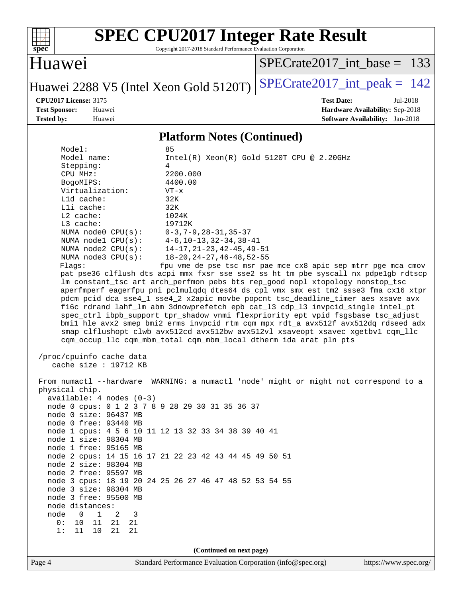

Copyright 2017-2018 Standard Performance Evaluation Corporation

### Huawei

[SPECrate2017\\_int\\_base =](http://www.spec.org/auto/cpu2017/Docs/result-fields.html#SPECrate2017intbase) 133

Huawei 2288 V5 (Intel Xeon Gold 5120T) SPECrate  $2017$ \_int\_peak = 142

**[CPU2017 License:](http://www.spec.org/auto/cpu2017/Docs/result-fields.html#CPU2017License)** 3175 **[Test Date:](http://www.spec.org/auto/cpu2017/Docs/result-fields.html#TestDate)** Jul-2018 **[Test Sponsor:](http://www.spec.org/auto/cpu2017/Docs/result-fields.html#TestSponsor)** Huawei **[Hardware Availability:](http://www.spec.org/auto/cpu2017/Docs/result-fields.html#HardwareAvailability)** Sep-2018 **[Tested by:](http://www.spec.org/auto/cpu2017/Docs/result-fields.html#Testedby)** Huawei **[Software Availability:](http://www.spec.org/auto/cpu2017/Docs/result-fields.html#SoftwareAvailability)** Jan-2018

#### **[Platform Notes \(Continued\)](http://www.spec.org/auto/cpu2017/Docs/result-fields.html#PlatformNotes)**

|                                                                                    | 1 Iunioi III 1900s (Continuou)                                                       |
|------------------------------------------------------------------------------------|--------------------------------------------------------------------------------------|
| Model:                                                                             | 85                                                                                   |
| Model name:                                                                        | $Intel(R) Xeon(R) Gold 5120T CPU @ 2.20GHz$                                          |
| Stepping:                                                                          | 4                                                                                    |
| CPU MHz:                                                                           | 2200.000                                                                             |
| BogoMIPS:                                                                          | 4400.00                                                                              |
| Virtualization:                                                                    | $VT - x$                                                                             |
| Lld cache:                                                                         | 32K                                                                                  |
| $L1i$ cache:                                                                       | 32K                                                                                  |
| $L2$ cache:                                                                        | 1024K                                                                                |
| $L3$ cache:                                                                        | 19712K                                                                               |
|                                                                                    |                                                                                      |
| NUMA node0 CPU(s): 0-3,7-9,28-31,35-37<br>NUMA node1 CPU(s): 4-6,10-13,32-34,38-41 |                                                                                      |
|                                                                                    | NUMA node2 $CPU(s):$ $14-17, 21-23, 42-45, 49-51$                                    |
| NUMA $node3$ $CPU(s):$                                                             | $18 - 20$ , $24 - 27$ , $46 - 48$ , $52 - 55$                                        |
| Flagg:                                                                             | fpu vme de pse tsc msr pae mce cx8 apic sep mtrr pge mca cmov                        |
|                                                                                    | pat pse36 clflush dts acpi mmx fxsr sse sse2 ss ht tm pbe syscall nx pdpe1gb rdtscp  |
|                                                                                    | lm constant_tsc art arch_perfmon pebs bts rep_good nopl xtopology nonstop_tsc        |
|                                                                                    | aperfmperf eagerfpu pni pclmulgdg dtes64 ds_cpl vmx smx est tm2 ssse3 fma cx16 xtpr  |
|                                                                                    | pdcm pcid dca sse4_1 sse4_2 x2apic movbe popcnt tsc_deadline_timer aes xsave avx     |
|                                                                                    | f16c rdrand lahf_lm abm 3dnowprefetch epb cat_13 cdp_13 invpcid_single intel_pt      |
|                                                                                    | spec_ctrl ibpb_support tpr_shadow vnmi flexpriority ept vpid fsgsbase tsc_adjust     |
|                                                                                    | bmil hle avx2 smep bmi2 erms invpcid rtm cqm mpx rdt_a avx512f avx512dq rdseed adx   |
|                                                                                    | smap clflushopt clwb avx512cd avx512bw avx512vl xsaveopt xsavec xgetbvl cqm_llc      |
|                                                                                    | cqm_occup_llc cqm_mbm_total cqm_mbm_local dtherm ida arat pln pts                    |
|                                                                                    |                                                                                      |
| /proc/cpuinfo cache data                                                           |                                                                                      |
| cache size : 19712 KB                                                              |                                                                                      |
|                                                                                    |                                                                                      |
|                                                                                    | From numactl --hardware WARNING: a numactl 'node' might or might not correspond to a |
| physical chip.                                                                     |                                                                                      |
| $available: 4 nodes (0-3)$                                                         |                                                                                      |
| node 0 cpus: 0 1 2 3 7 8 9 28 29 30 31 35 36 37                                    |                                                                                      |
| node 0 size: 96437 MB                                                              |                                                                                      |
| node 0 free: 93440 MB                                                              |                                                                                      |
|                                                                                    | node 1 cpus: 4 5 6 10 11 12 13 32 33 34 38 39 40 41                                  |
| node 1 size: 98304 MB                                                              |                                                                                      |
| node 1 free: 95165 MB                                                              |                                                                                      |
|                                                                                    | node 2 cpus: 14 15 16 17 21 22 23 42 43 44 45 49 50 51                               |
| node 2 size: 98304 MB                                                              |                                                                                      |
|                                                                                    |                                                                                      |

 node 2 free: 95597 MB node 3 cpus: 18 19 20 24 25 26 27 46 47 48 52 53 54 55 node 3 size: 98304 MB

 node 3 free: 95500 MB node distances: node 0 1 2 3

> 0: 10 11 21 21 1: 11 10 21 21

> > **(Continued on next page)**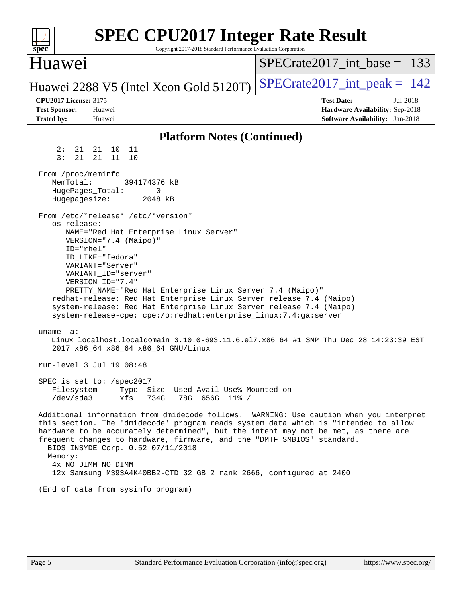| Huawei<br>$SPECrate2017\_int\_base = 133$<br>$SPECrate2017\_int\_peak = 142$<br>Huawei 2288 V5 (Intel Xeon Gold 5120T)<br><b>CPU2017 License: 3175</b><br><b>Test Date:</b><br>Jul-2018<br><b>Test Sponsor:</b><br>Hardware Availability: Sep-2018<br>Huawei<br><b>Tested by:</b><br>Huawei<br>Software Availability: Jan-2018<br><b>Platform Notes (Continued)</b><br>2:<br>21<br>21<br>10<br>11<br>3:<br>21<br>21<br>11<br>10<br>From /proc/meminfo<br>MemTotal:<br>394174376 kB<br>HugePages_Total:<br>0<br>Hugepagesize:<br>2048 kB<br>From /etc/*release* /etc/*version*<br>os-release:<br>NAME="Red Hat Enterprise Linux Server"<br>VERSION="7.4 (Maipo)"<br>ID="rhel"<br>ID LIKE="fedora"<br>VARIANT="Server"<br>VARIANT ID="server"<br>VERSION_ID="7.4"<br>PRETTY_NAME="Red Hat Enterprise Linux Server 7.4 (Maipo)"<br>redhat-release: Red Hat Enterprise Linux Server release 7.4 (Maipo)<br>system-release: Red Hat Enterprise Linux Server release 7.4 (Maipo)<br>system-release-cpe: cpe:/o:redhat:enterprise_linux:7.4:ga:server<br>uname $-a$ :<br>Linux localhost.localdomain 3.10.0-693.11.6.el7.x86_64 #1 SMP Thu Dec 28 14:23:39 EST<br>2017 x86_64 x86_64 x86_64 GNU/Linux<br>run-level 3 Jul 19 08:48<br>SPEC is set to: /spec2017<br>Type Size Used Avail Use% Mounted on<br>Filesystem<br>/dev/sda3<br>xfs<br>734G<br>78G 656G 11% /<br>Additional information from dmidecode follows. WARNING: Use caution when you interpret<br>this section. The 'dmidecode' program reads system data which is "intended to allow<br>hardware to be accurately determined", but the intent may not be met, as there are<br>frequent changes to hardware, firmware, and the "DMTF SMBIOS" standard.<br>BIOS INSYDE Corp. 0.52 07/11/2018<br>Memory:<br>4x NO DIMM NO DIMM<br>12x Samsung M393A4K40BB2-CTD 32 GB 2 rank 2666, configured at 2400<br>(End of data from sysinfo program) | spec <sup>®</sup> | <b>SPEC CPU2017 Integer Rate Result</b><br>Copyright 2017-2018 Standard Performance Evaluation Corporation |  |  |
|-------------------------------------------------------------------------------------------------------------------------------------------------------------------------------------------------------------------------------------------------------------------------------------------------------------------------------------------------------------------------------------------------------------------------------------------------------------------------------------------------------------------------------------------------------------------------------------------------------------------------------------------------------------------------------------------------------------------------------------------------------------------------------------------------------------------------------------------------------------------------------------------------------------------------------------------------------------------------------------------------------------------------------------------------------------------------------------------------------------------------------------------------------------------------------------------------------------------------------------------------------------------------------------------------------------------------------------------------------------------------------------------------------------------------------------------------------------------------------------------------------------------------------------------------------------------------------------------------------------------------------------------------------------------------------------------------------------------------------------------------------------------------------------------------------------------------------------------------------------------------------------------------|-------------------|------------------------------------------------------------------------------------------------------------|--|--|
|                                                                                                                                                                                                                                                                                                                                                                                                                                                                                                                                                                                                                                                                                                                                                                                                                                                                                                                                                                                                                                                                                                                                                                                                                                                                                                                                                                                                                                                                                                                                                                                                                                                                                                                                                                                                                                                                                                 |                   |                                                                                                            |  |  |
|                                                                                                                                                                                                                                                                                                                                                                                                                                                                                                                                                                                                                                                                                                                                                                                                                                                                                                                                                                                                                                                                                                                                                                                                                                                                                                                                                                                                                                                                                                                                                                                                                                                                                                                                                                                                                                                                                                 |                   |                                                                                                            |  |  |
|                                                                                                                                                                                                                                                                                                                                                                                                                                                                                                                                                                                                                                                                                                                                                                                                                                                                                                                                                                                                                                                                                                                                                                                                                                                                                                                                                                                                                                                                                                                                                                                                                                                                                                                                                                                                                                                                                                 |                   |                                                                                                            |  |  |
|                                                                                                                                                                                                                                                                                                                                                                                                                                                                                                                                                                                                                                                                                                                                                                                                                                                                                                                                                                                                                                                                                                                                                                                                                                                                                                                                                                                                                                                                                                                                                                                                                                                                                                                                                                                                                                                                                                 |                   |                                                                                                            |  |  |
|                                                                                                                                                                                                                                                                                                                                                                                                                                                                                                                                                                                                                                                                                                                                                                                                                                                                                                                                                                                                                                                                                                                                                                                                                                                                                                                                                                                                                                                                                                                                                                                                                                                                                                                                                                                                                                                                                                 |                   |                                                                                                            |  |  |
|                                                                                                                                                                                                                                                                                                                                                                                                                                                                                                                                                                                                                                                                                                                                                                                                                                                                                                                                                                                                                                                                                                                                                                                                                                                                                                                                                                                                                                                                                                                                                                                                                                                                                                                                                                                                                                                                                                 |                   |                                                                                                            |  |  |
|                                                                                                                                                                                                                                                                                                                                                                                                                                                                                                                                                                                                                                                                                                                                                                                                                                                                                                                                                                                                                                                                                                                                                                                                                                                                                                                                                                                                                                                                                                                                                                                                                                                                                                                                                                                                                                                                                                 |                   |                                                                                                            |  |  |
| Standard Performance Evaluation Corporation (info@spec.org)<br>https://www.spec.org/<br>Page 5                                                                                                                                                                                                                                                                                                                                                                                                                                                                                                                                                                                                                                                                                                                                                                                                                                                                                                                                                                                                                                                                                                                                                                                                                                                                                                                                                                                                                                                                                                                                                                                                                                                                                                                                                                                                  |                   |                                                                                                            |  |  |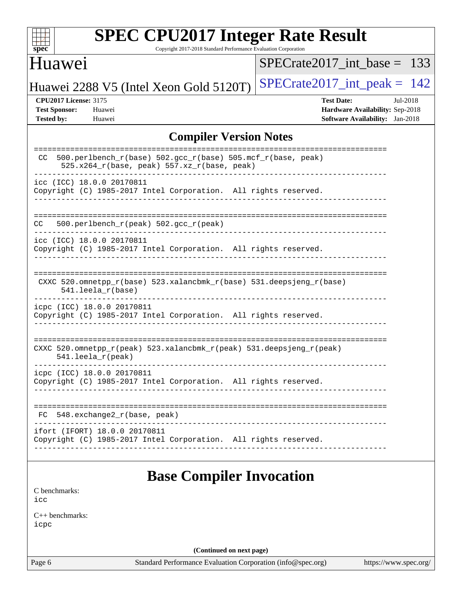| s<br>e<br>٠,<br>z |  |  |  |  |  |  |  |
|-------------------|--|--|--|--|--|--|--|

Copyright 2017-2018 Standard Performance Evaluation Corporation

## Huawei

[SPECrate2017\\_int\\_base =](http://www.spec.org/auto/cpu2017/Docs/result-fields.html#SPECrate2017intbase) 133

Huawei 2288 V5 (Intel Xeon Gold 5120T) SPECrate  $2017$ \_int\_peak = 142

**[CPU2017 License:](http://www.spec.org/auto/cpu2017/Docs/result-fields.html#CPU2017License)** 3175 **[Test Date:](http://www.spec.org/auto/cpu2017/Docs/result-fields.html#TestDate)** Jul-2018 **[Test Sponsor:](http://www.spec.org/auto/cpu2017/Docs/result-fields.html#TestSponsor)** Huawei **[Hardware Availability:](http://www.spec.org/auto/cpu2017/Docs/result-fields.html#HardwareAvailability)** Sep-2018 **[Tested by:](http://www.spec.org/auto/cpu2017/Docs/result-fields.html#Testedby)** Huawei **[Software Availability:](http://www.spec.org/auto/cpu2017/Docs/result-fields.html#SoftwareAvailability)** Jan-2018

#### **[Compiler Version Notes](http://www.spec.org/auto/cpu2017/Docs/result-fields.html#CompilerVersionNotes)**

| 500.perlbench_r(base) 502.gcc_r(base) 505.mcf_r(base, peak)<br>CC<br>525.x264_r(base, peak) 557.xz_r(base, peak) |
|------------------------------------------------------------------------------------------------------------------|
| icc (ICC) 18.0.0 20170811<br>Copyright (C) 1985-2017 Intel Corporation. All rights reserved.                     |
| 500.perlbench_r(peak) 502.gcc_r(peak)<br>CC                                                                      |
| icc (ICC) 18.0.0 20170811<br>Copyright (C) 1985-2017 Intel Corporation. All rights reserved.                     |
| CXXC 520.omnetpp_r(base) 523.xalancbmk_r(base) 531.deepsjeng_r(base)<br>541.leela_r(base)                        |
| icpc (ICC) 18.0.0 20170811<br>Copyright (C) 1985-2017 Intel Corporation. All rights reserved.                    |
| CXXC 520.omnetpp_r(peak) 523.xalancbmk_r(peak) 531.deepsjeng_r(peak)<br>$541.$ leela_r(peak)                     |
| icpc (ICC) 18.0.0 20170811<br>Copyright (C) 1985-2017 Intel Corporation. All rights reserved.                    |
| 548.exchange2_r(base, peak)<br>FC                                                                                |
| ifort (IFORT) 18.0.0 20170811<br>Copyright (C) 1985-2017 Intel Corporation. All rights reserved.                 |

**[Base Compiler Invocation](http://www.spec.org/auto/cpu2017/Docs/result-fields.html#BaseCompilerInvocation)**

[C benchmarks](http://www.spec.org/auto/cpu2017/Docs/result-fields.html#Cbenchmarks): [icc](http://www.spec.org/cpu2017/results/res2018q4/cpu2017-20181011-09148.flags.html#user_CCbase_intel_icc_18.0_66fc1ee009f7361af1fbd72ca7dcefbb700085f36577c54f309893dd4ec40d12360134090235512931783d35fd58c0460139e722d5067c5574d8eaf2b3e37e92)

[C++ benchmarks:](http://www.spec.org/auto/cpu2017/Docs/result-fields.html#CXXbenchmarks) [icpc](http://www.spec.org/cpu2017/results/res2018q4/cpu2017-20181011-09148.flags.html#user_CXXbase_intel_icpc_18.0_c510b6838c7f56d33e37e94d029a35b4a7bccf4766a728ee175e80a419847e808290a9b78be685c44ab727ea267ec2f070ec5dc83b407c0218cded6866a35d07)

**(Continued on next page)**

Page 6 Standard Performance Evaluation Corporation [\(info@spec.org\)](mailto:info@spec.org) <https://www.spec.org/>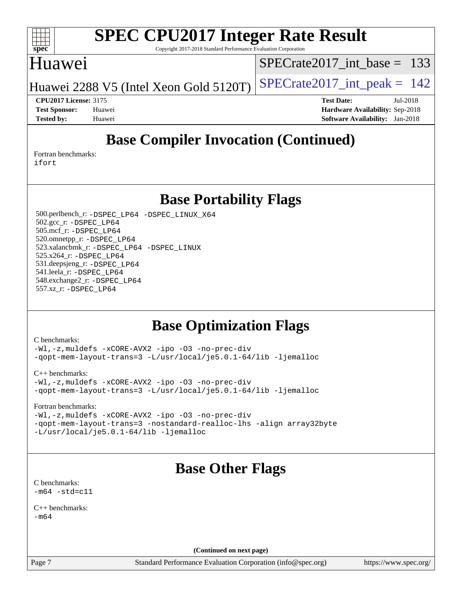

Copyright 2017-2018 Standard Performance Evaluation Corporation

### Huawei

[SPECrate2017\\_int\\_base =](http://www.spec.org/auto/cpu2017/Docs/result-fields.html#SPECrate2017intbase) 133

Huawei 2288 V5 (Intel Xeon Gold 5120T) SPECrate  $2017$ \_int\_peak = 142

**[CPU2017 License:](http://www.spec.org/auto/cpu2017/Docs/result-fields.html#CPU2017License)** 3175 **[Test Date:](http://www.spec.org/auto/cpu2017/Docs/result-fields.html#TestDate)** Jul-2018 **[Test Sponsor:](http://www.spec.org/auto/cpu2017/Docs/result-fields.html#TestSponsor)** Huawei **[Hardware Availability:](http://www.spec.org/auto/cpu2017/Docs/result-fields.html#HardwareAvailability)** Sep-2018 **[Tested by:](http://www.spec.org/auto/cpu2017/Docs/result-fields.html#Testedby)** Huawei **[Software Availability:](http://www.spec.org/auto/cpu2017/Docs/result-fields.html#SoftwareAvailability)** Jan-2018

## **[Base Compiler Invocation \(Continued\)](http://www.spec.org/auto/cpu2017/Docs/result-fields.html#BaseCompilerInvocation)**

[Fortran benchmarks](http://www.spec.org/auto/cpu2017/Docs/result-fields.html#Fortranbenchmarks): [ifort](http://www.spec.org/cpu2017/results/res2018q4/cpu2017-20181011-09148.flags.html#user_FCbase_intel_ifort_18.0_8111460550e3ca792625aed983ce982f94888b8b503583aa7ba2b8303487b4d8a21a13e7191a45c5fd58ff318f48f9492884d4413fa793fd88dd292cad7027ca)

**[Base Portability Flags](http://www.spec.org/auto/cpu2017/Docs/result-fields.html#BasePortabilityFlags)**

 500.perlbench\_r: [-DSPEC\\_LP64](http://www.spec.org/cpu2017/results/res2018q4/cpu2017-20181011-09148.flags.html#b500.perlbench_r_basePORTABILITY_DSPEC_LP64) [-DSPEC\\_LINUX\\_X64](http://www.spec.org/cpu2017/results/res2018q4/cpu2017-20181011-09148.flags.html#b500.perlbench_r_baseCPORTABILITY_DSPEC_LINUX_X64) 502.gcc\_r: [-DSPEC\\_LP64](http://www.spec.org/cpu2017/results/res2018q4/cpu2017-20181011-09148.flags.html#suite_basePORTABILITY502_gcc_r_DSPEC_LP64) 505.mcf\_r: [-DSPEC\\_LP64](http://www.spec.org/cpu2017/results/res2018q4/cpu2017-20181011-09148.flags.html#suite_basePORTABILITY505_mcf_r_DSPEC_LP64) 520.omnetpp\_r: [-DSPEC\\_LP64](http://www.spec.org/cpu2017/results/res2018q4/cpu2017-20181011-09148.flags.html#suite_basePORTABILITY520_omnetpp_r_DSPEC_LP64) 523.xalancbmk\_r: [-DSPEC\\_LP64](http://www.spec.org/cpu2017/results/res2018q4/cpu2017-20181011-09148.flags.html#suite_basePORTABILITY523_xalancbmk_r_DSPEC_LP64) [-DSPEC\\_LINUX](http://www.spec.org/cpu2017/results/res2018q4/cpu2017-20181011-09148.flags.html#b523.xalancbmk_r_baseCXXPORTABILITY_DSPEC_LINUX) 525.x264\_r: [-DSPEC\\_LP64](http://www.spec.org/cpu2017/results/res2018q4/cpu2017-20181011-09148.flags.html#suite_basePORTABILITY525_x264_r_DSPEC_LP64) 531.deepsjeng\_r: [-DSPEC\\_LP64](http://www.spec.org/cpu2017/results/res2018q4/cpu2017-20181011-09148.flags.html#suite_basePORTABILITY531_deepsjeng_r_DSPEC_LP64) 541.leela\_r: [-DSPEC\\_LP64](http://www.spec.org/cpu2017/results/res2018q4/cpu2017-20181011-09148.flags.html#suite_basePORTABILITY541_leela_r_DSPEC_LP64) 548.exchange2\_r: [-DSPEC\\_LP64](http://www.spec.org/cpu2017/results/res2018q4/cpu2017-20181011-09148.flags.html#suite_basePORTABILITY548_exchange2_r_DSPEC_LP64) 557.xz\_r: [-DSPEC\\_LP64](http://www.spec.org/cpu2017/results/res2018q4/cpu2017-20181011-09148.flags.html#suite_basePORTABILITY557_xz_r_DSPEC_LP64)

## **[Base Optimization Flags](http://www.spec.org/auto/cpu2017/Docs/result-fields.html#BaseOptimizationFlags)**

[C benchmarks](http://www.spec.org/auto/cpu2017/Docs/result-fields.html#Cbenchmarks):

[-Wl,-z,muldefs](http://www.spec.org/cpu2017/results/res2018q4/cpu2017-20181011-09148.flags.html#user_CCbase_link_force_multiple1_b4cbdb97b34bdee9ceefcfe54f4c8ea74255f0b02a4b23e853cdb0e18eb4525ac79b5a88067c842dd0ee6996c24547a27a4b99331201badda8798ef8a743f577) [-xCORE-AVX2](http://www.spec.org/cpu2017/results/res2018q4/cpu2017-20181011-09148.flags.html#user_CCbase_f-xCORE-AVX2) [-ipo](http://www.spec.org/cpu2017/results/res2018q4/cpu2017-20181011-09148.flags.html#user_CCbase_f-ipo) [-O3](http://www.spec.org/cpu2017/results/res2018q4/cpu2017-20181011-09148.flags.html#user_CCbase_f-O3) [-no-prec-div](http://www.spec.org/cpu2017/results/res2018q4/cpu2017-20181011-09148.flags.html#user_CCbase_f-no-prec-div) [-qopt-mem-layout-trans=3](http://www.spec.org/cpu2017/results/res2018q4/cpu2017-20181011-09148.flags.html#user_CCbase_f-qopt-mem-layout-trans_de80db37974c74b1f0e20d883f0b675c88c3b01e9d123adea9b28688d64333345fb62bc4a798493513fdb68f60282f9a726aa07f478b2f7113531aecce732043) [-L/usr/local/je5.0.1-64/lib](http://www.spec.org/cpu2017/results/res2018q4/cpu2017-20181011-09148.flags.html#user_CCbase_jemalloc_link_path64_4b10a636b7bce113509b17f3bd0d6226c5fb2346b9178c2d0232c14f04ab830f976640479e5c33dc2bcbbdad86ecfb6634cbbd4418746f06f368b512fced5394) [-ljemalloc](http://www.spec.org/cpu2017/results/res2018q4/cpu2017-20181011-09148.flags.html#user_CCbase_jemalloc_link_lib_d1249b907c500fa1c0672f44f562e3d0f79738ae9e3c4a9c376d49f265a04b9c99b167ecedbf6711b3085be911c67ff61f150a17b3472be731631ba4d0471706)

[C++ benchmarks:](http://www.spec.org/auto/cpu2017/Docs/result-fields.html#CXXbenchmarks)

| $-Wl$ ,-z,muldefs -xCORE-AVX2 -ipo -03 -no-prec-div             |  |  |  |
|-----------------------------------------------------------------|--|--|--|
| -qopt-mem-layout-trans=3 -L/usr/local/je5.0.1-64/lib -ljemalloc |  |  |  |

[Fortran benchmarks](http://www.spec.org/auto/cpu2017/Docs/result-fields.html#Fortranbenchmarks):

[-Wl,-z,muldefs](http://www.spec.org/cpu2017/results/res2018q4/cpu2017-20181011-09148.flags.html#user_FCbase_link_force_multiple1_b4cbdb97b34bdee9ceefcfe54f4c8ea74255f0b02a4b23e853cdb0e18eb4525ac79b5a88067c842dd0ee6996c24547a27a4b99331201badda8798ef8a743f577) [-xCORE-AVX2](http://www.spec.org/cpu2017/results/res2018q4/cpu2017-20181011-09148.flags.html#user_FCbase_f-xCORE-AVX2) [-ipo](http://www.spec.org/cpu2017/results/res2018q4/cpu2017-20181011-09148.flags.html#user_FCbase_f-ipo) [-O3](http://www.spec.org/cpu2017/results/res2018q4/cpu2017-20181011-09148.flags.html#user_FCbase_f-O3) [-no-prec-div](http://www.spec.org/cpu2017/results/res2018q4/cpu2017-20181011-09148.flags.html#user_FCbase_f-no-prec-div) [-qopt-mem-layout-trans=3](http://www.spec.org/cpu2017/results/res2018q4/cpu2017-20181011-09148.flags.html#user_FCbase_f-qopt-mem-layout-trans_de80db37974c74b1f0e20d883f0b675c88c3b01e9d123adea9b28688d64333345fb62bc4a798493513fdb68f60282f9a726aa07f478b2f7113531aecce732043) [-nostandard-realloc-lhs](http://www.spec.org/cpu2017/results/res2018q4/cpu2017-20181011-09148.flags.html#user_FCbase_f_2003_std_realloc_82b4557e90729c0f113870c07e44d33d6f5a304b4f63d4c15d2d0f1fab99f5daaed73bdb9275d9ae411527f28b936061aa8b9c8f2d63842963b95c9dd6426b8a) [-align array32byte](http://www.spec.org/cpu2017/results/res2018q4/cpu2017-20181011-09148.flags.html#user_FCbase_align_array32byte_b982fe038af199962ba9a80c053b8342c548c85b40b8e86eb3cc33dee0d7986a4af373ac2d51c3f7cf710a18d62fdce2948f201cd044323541f22fc0fffc51b6) [-L/usr/local/je5.0.1-64/lib](http://www.spec.org/cpu2017/results/res2018q4/cpu2017-20181011-09148.flags.html#user_FCbase_jemalloc_link_path64_4b10a636b7bce113509b17f3bd0d6226c5fb2346b9178c2d0232c14f04ab830f976640479e5c33dc2bcbbdad86ecfb6634cbbd4418746f06f368b512fced5394) [-ljemalloc](http://www.spec.org/cpu2017/results/res2018q4/cpu2017-20181011-09148.flags.html#user_FCbase_jemalloc_link_lib_d1249b907c500fa1c0672f44f562e3d0f79738ae9e3c4a9c376d49f265a04b9c99b167ecedbf6711b3085be911c67ff61f150a17b3472be731631ba4d0471706)

# **[Base Other Flags](http://www.spec.org/auto/cpu2017/Docs/result-fields.html#BaseOtherFlags)**

[C benchmarks](http://www.spec.org/auto/cpu2017/Docs/result-fields.html#Cbenchmarks):  $-m64 - std= c11$  $-m64 - std= c11$ 

[C++ benchmarks:](http://www.spec.org/auto/cpu2017/Docs/result-fields.html#CXXbenchmarks)  $-m64$ 

**(Continued on next page)**

Page 7 Standard Performance Evaluation Corporation [\(info@spec.org\)](mailto:info@spec.org) <https://www.spec.org/>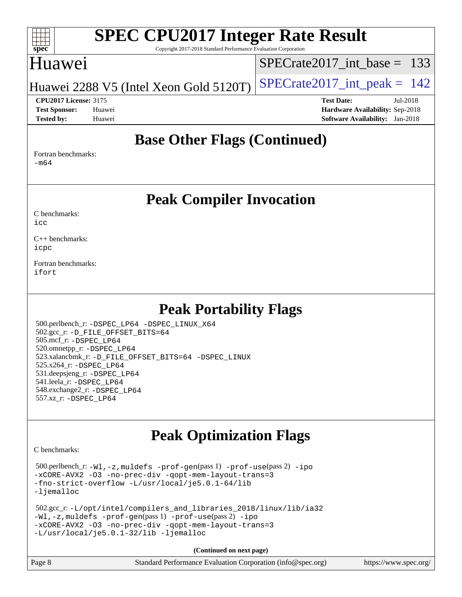#### $+\ +$ **[spec](http://www.spec.org/)**

# **[SPEC CPU2017 Integer Rate Result](http://www.spec.org/auto/cpu2017/Docs/result-fields.html#SPECCPU2017IntegerRateResult)**

Copyright 2017-2018 Standard Performance Evaluation Corporation

## Huawei

[SPECrate2017\\_int\\_base =](http://www.spec.org/auto/cpu2017/Docs/result-fields.html#SPECrate2017intbase) 133

Huawei 2288 V5 (Intel Xeon Gold 5120T) SPECrate  $2017$ \_int\_peak = 142

**[CPU2017 License:](http://www.spec.org/auto/cpu2017/Docs/result-fields.html#CPU2017License)** 3175 **[Test Date:](http://www.spec.org/auto/cpu2017/Docs/result-fields.html#TestDate)** Jul-2018 **[Test Sponsor:](http://www.spec.org/auto/cpu2017/Docs/result-fields.html#TestSponsor)** Huawei **[Hardware Availability:](http://www.spec.org/auto/cpu2017/Docs/result-fields.html#HardwareAvailability)** Sep-2018 **[Tested by:](http://www.spec.org/auto/cpu2017/Docs/result-fields.html#Testedby)** Huawei **[Software Availability:](http://www.spec.org/auto/cpu2017/Docs/result-fields.html#SoftwareAvailability)** Jan-2018

## **[Base Other Flags \(Continued\)](http://www.spec.org/auto/cpu2017/Docs/result-fields.html#BaseOtherFlags)**

[Fortran benchmarks](http://www.spec.org/auto/cpu2017/Docs/result-fields.html#Fortranbenchmarks): [-m64](http://www.spec.org/cpu2017/results/res2018q4/cpu2017-20181011-09148.flags.html#user_FCbase_intel_intel64_18.0_af43caccfc8ded86e7699f2159af6efc7655f51387b94da716254467f3c01020a5059329e2569e4053f409e7c9202a7efc638f7a6d1ffb3f52dea4a3e31d82ab)

### **[Peak Compiler Invocation](http://www.spec.org/auto/cpu2017/Docs/result-fields.html#PeakCompilerInvocation)**

[C benchmarks](http://www.spec.org/auto/cpu2017/Docs/result-fields.html#Cbenchmarks): [icc](http://www.spec.org/cpu2017/results/res2018q4/cpu2017-20181011-09148.flags.html#user_CCpeak_intel_icc_18.0_66fc1ee009f7361af1fbd72ca7dcefbb700085f36577c54f309893dd4ec40d12360134090235512931783d35fd58c0460139e722d5067c5574d8eaf2b3e37e92)

[C++ benchmarks:](http://www.spec.org/auto/cpu2017/Docs/result-fields.html#CXXbenchmarks) [icpc](http://www.spec.org/cpu2017/results/res2018q4/cpu2017-20181011-09148.flags.html#user_CXXpeak_intel_icpc_18.0_c510b6838c7f56d33e37e94d029a35b4a7bccf4766a728ee175e80a419847e808290a9b78be685c44ab727ea267ec2f070ec5dc83b407c0218cded6866a35d07)

[Fortran benchmarks](http://www.spec.org/auto/cpu2017/Docs/result-fields.html#Fortranbenchmarks): [ifort](http://www.spec.org/cpu2017/results/res2018q4/cpu2017-20181011-09148.flags.html#user_FCpeak_intel_ifort_18.0_8111460550e3ca792625aed983ce982f94888b8b503583aa7ba2b8303487b4d8a21a13e7191a45c5fd58ff318f48f9492884d4413fa793fd88dd292cad7027ca)

## **[Peak Portability Flags](http://www.spec.org/auto/cpu2017/Docs/result-fields.html#PeakPortabilityFlags)**

 500.perlbench\_r: [-DSPEC\\_LP64](http://www.spec.org/cpu2017/results/res2018q4/cpu2017-20181011-09148.flags.html#b500.perlbench_r_peakPORTABILITY_DSPEC_LP64) [-DSPEC\\_LINUX\\_X64](http://www.spec.org/cpu2017/results/res2018q4/cpu2017-20181011-09148.flags.html#b500.perlbench_r_peakCPORTABILITY_DSPEC_LINUX_X64) 502.gcc\_r: [-D\\_FILE\\_OFFSET\\_BITS=64](http://www.spec.org/cpu2017/results/res2018q4/cpu2017-20181011-09148.flags.html#user_peakPORTABILITY502_gcc_r_file_offset_bits_64_5ae949a99b284ddf4e95728d47cb0843d81b2eb0e18bdfe74bbf0f61d0b064f4bda2f10ea5eb90e1dcab0e84dbc592acfc5018bc955c18609f94ddb8d550002c) 505.mcf\_r: [-DSPEC\\_LP64](http://www.spec.org/cpu2017/results/res2018q4/cpu2017-20181011-09148.flags.html#suite_peakPORTABILITY505_mcf_r_DSPEC_LP64) 520.omnetpp\_r: [-DSPEC\\_LP64](http://www.spec.org/cpu2017/results/res2018q4/cpu2017-20181011-09148.flags.html#suite_peakPORTABILITY520_omnetpp_r_DSPEC_LP64) 523.xalancbmk\_r: [-D\\_FILE\\_OFFSET\\_BITS=64](http://www.spec.org/cpu2017/results/res2018q4/cpu2017-20181011-09148.flags.html#user_peakPORTABILITY523_xalancbmk_r_file_offset_bits_64_5ae949a99b284ddf4e95728d47cb0843d81b2eb0e18bdfe74bbf0f61d0b064f4bda2f10ea5eb90e1dcab0e84dbc592acfc5018bc955c18609f94ddb8d550002c) [-DSPEC\\_LINUX](http://www.spec.org/cpu2017/results/res2018q4/cpu2017-20181011-09148.flags.html#b523.xalancbmk_r_peakCXXPORTABILITY_DSPEC_LINUX) 525.x264\_r: [-DSPEC\\_LP64](http://www.spec.org/cpu2017/results/res2018q4/cpu2017-20181011-09148.flags.html#suite_peakPORTABILITY525_x264_r_DSPEC_LP64) 531.deepsjeng\_r: [-DSPEC\\_LP64](http://www.spec.org/cpu2017/results/res2018q4/cpu2017-20181011-09148.flags.html#suite_peakPORTABILITY531_deepsjeng_r_DSPEC_LP64) 541.leela\_r: [-DSPEC\\_LP64](http://www.spec.org/cpu2017/results/res2018q4/cpu2017-20181011-09148.flags.html#suite_peakPORTABILITY541_leela_r_DSPEC_LP64) 548.exchange2\_r: [-DSPEC\\_LP64](http://www.spec.org/cpu2017/results/res2018q4/cpu2017-20181011-09148.flags.html#suite_peakPORTABILITY548_exchange2_r_DSPEC_LP64) 557.xz\_r: [-DSPEC\\_LP64](http://www.spec.org/cpu2017/results/res2018q4/cpu2017-20181011-09148.flags.html#suite_peakPORTABILITY557_xz_r_DSPEC_LP64)

# **[Peak Optimization Flags](http://www.spec.org/auto/cpu2017/Docs/result-fields.html#PeakOptimizationFlags)**

[C benchmarks](http://www.spec.org/auto/cpu2017/Docs/result-fields.html#Cbenchmarks):

 500.perlbench\_r: [-Wl,-z,muldefs](http://www.spec.org/cpu2017/results/res2018q4/cpu2017-20181011-09148.flags.html#user_peakEXTRA_LDFLAGS500_perlbench_r_link_force_multiple1_b4cbdb97b34bdee9ceefcfe54f4c8ea74255f0b02a4b23e853cdb0e18eb4525ac79b5a88067c842dd0ee6996c24547a27a4b99331201badda8798ef8a743f577) [-prof-gen](http://www.spec.org/cpu2017/results/res2018q4/cpu2017-20181011-09148.flags.html#user_peakPASS1_CFLAGSPASS1_LDFLAGS500_perlbench_r_prof_gen_5aa4926d6013ddb2a31985c654b3eb18169fc0c6952a63635c234f711e6e63dd76e94ad52365559451ec499a2cdb89e4dc58ba4c67ef54ca681ffbe1461d6b36)(pass 1) [-prof-use](http://www.spec.org/cpu2017/results/res2018q4/cpu2017-20181011-09148.flags.html#user_peakPASS2_CFLAGSPASS2_LDFLAGS500_perlbench_r_prof_use_1a21ceae95f36a2b53c25747139a6c16ca95bd9def2a207b4f0849963b97e94f5260e30a0c64f4bb623698870e679ca08317ef8150905d41bd88c6f78df73f19)(pass 2) [-ipo](http://www.spec.org/cpu2017/results/res2018q4/cpu2017-20181011-09148.flags.html#user_peakPASS1_COPTIMIZEPASS2_COPTIMIZE500_perlbench_r_f-ipo) [-xCORE-AVX2](http://www.spec.org/cpu2017/results/res2018q4/cpu2017-20181011-09148.flags.html#user_peakPASS2_COPTIMIZE500_perlbench_r_f-xCORE-AVX2) [-O3](http://www.spec.org/cpu2017/results/res2018q4/cpu2017-20181011-09148.flags.html#user_peakPASS1_COPTIMIZEPASS2_COPTIMIZE500_perlbench_r_f-O3) [-no-prec-div](http://www.spec.org/cpu2017/results/res2018q4/cpu2017-20181011-09148.flags.html#user_peakPASS1_COPTIMIZEPASS2_COPTIMIZE500_perlbench_r_f-no-prec-div) [-qopt-mem-layout-trans=3](http://www.spec.org/cpu2017/results/res2018q4/cpu2017-20181011-09148.flags.html#user_peakPASS1_COPTIMIZEPASS2_COPTIMIZE500_perlbench_r_f-qopt-mem-layout-trans_de80db37974c74b1f0e20d883f0b675c88c3b01e9d123adea9b28688d64333345fb62bc4a798493513fdb68f60282f9a726aa07f478b2f7113531aecce732043) [-fno-strict-overflow](http://www.spec.org/cpu2017/results/res2018q4/cpu2017-20181011-09148.flags.html#user_peakEXTRA_OPTIMIZE500_perlbench_r_f-fno-strict-overflow) [-L/usr/local/je5.0.1-64/lib](http://www.spec.org/cpu2017/results/res2018q4/cpu2017-20181011-09148.flags.html#user_peakEXTRA_LIBS500_perlbench_r_jemalloc_link_path64_4b10a636b7bce113509b17f3bd0d6226c5fb2346b9178c2d0232c14f04ab830f976640479e5c33dc2bcbbdad86ecfb6634cbbd4418746f06f368b512fced5394) [-ljemalloc](http://www.spec.org/cpu2017/results/res2018q4/cpu2017-20181011-09148.flags.html#user_peakEXTRA_LIBS500_perlbench_r_jemalloc_link_lib_d1249b907c500fa1c0672f44f562e3d0f79738ae9e3c4a9c376d49f265a04b9c99b167ecedbf6711b3085be911c67ff61f150a17b3472be731631ba4d0471706)

 502.gcc\_r: [-L/opt/intel/compilers\\_and\\_libraries\\_2018/linux/lib/ia32](http://www.spec.org/cpu2017/results/res2018q4/cpu2017-20181011-09148.flags.html#user_peakCCLD502_gcc_r_Enable-32bit-runtime_af243bdb1d79e4c7a4f720bf8275e627de2ecd461de63307bc14cef0633fde3cd7bb2facb32dcc8be9566045fb55d40ce2b72b725f73827aa7833441b71b9343) [-Wl,-z,muldefs](http://www.spec.org/cpu2017/results/res2018q4/cpu2017-20181011-09148.flags.html#user_peakEXTRA_LDFLAGS502_gcc_r_link_force_multiple1_b4cbdb97b34bdee9ceefcfe54f4c8ea74255f0b02a4b23e853cdb0e18eb4525ac79b5a88067c842dd0ee6996c24547a27a4b99331201badda8798ef8a743f577) [-prof-gen](http://www.spec.org/cpu2017/results/res2018q4/cpu2017-20181011-09148.flags.html#user_peakPASS1_CFLAGSPASS1_LDFLAGS502_gcc_r_prof_gen_5aa4926d6013ddb2a31985c654b3eb18169fc0c6952a63635c234f711e6e63dd76e94ad52365559451ec499a2cdb89e4dc58ba4c67ef54ca681ffbe1461d6b36)(pass 1) [-prof-use](http://www.spec.org/cpu2017/results/res2018q4/cpu2017-20181011-09148.flags.html#user_peakPASS2_CFLAGSPASS2_LDFLAGS502_gcc_r_prof_use_1a21ceae95f36a2b53c25747139a6c16ca95bd9def2a207b4f0849963b97e94f5260e30a0c64f4bb623698870e679ca08317ef8150905d41bd88c6f78df73f19)(pass 2) [-ipo](http://www.spec.org/cpu2017/results/res2018q4/cpu2017-20181011-09148.flags.html#user_peakPASS1_COPTIMIZEPASS2_COPTIMIZE502_gcc_r_f-ipo) [-xCORE-AVX2](http://www.spec.org/cpu2017/results/res2018q4/cpu2017-20181011-09148.flags.html#user_peakPASS2_COPTIMIZE502_gcc_r_f-xCORE-AVX2) [-O3](http://www.spec.org/cpu2017/results/res2018q4/cpu2017-20181011-09148.flags.html#user_peakPASS1_COPTIMIZEPASS2_COPTIMIZE502_gcc_r_f-O3) [-no-prec-div](http://www.spec.org/cpu2017/results/res2018q4/cpu2017-20181011-09148.flags.html#user_peakPASS1_COPTIMIZEPASS2_COPTIMIZE502_gcc_r_f-no-prec-div) [-qopt-mem-layout-trans=3](http://www.spec.org/cpu2017/results/res2018q4/cpu2017-20181011-09148.flags.html#user_peakPASS1_COPTIMIZEPASS2_COPTIMIZE502_gcc_r_f-qopt-mem-layout-trans_de80db37974c74b1f0e20d883f0b675c88c3b01e9d123adea9b28688d64333345fb62bc4a798493513fdb68f60282f9a726aa07f478b2f7113531aecce732043) [-L/usr/local/je5.0.1-32/lib](http://www.spec.org/cpu2017/results/res2018q4/cpu2017-20181011-09148.flags.html#user_peakEXTRA_LIBS502_gcc_r_jemalloc_link_path32_e29f22e8e6c17053bbc6a0971f5a9c01a601a06bb1a59df2084b77a2fe0a2995b64fd4256feaeea39eeba3aae142e96e2b2b0a28974019c0c0c88139a84f900a) [-ljemalloc](http://www.spec.org/cpu2017/results/res2018q4/cpu2017-20181011-09148.flags.html#user_peakEXTRA_LIBS502_gcc_r_jemalloc_link_lib_d1249b907c500fa1c0672f44f562e3d0f79738ae9e3c4a9c376d49f265a04b9c99b167ecedbf6711b3085be911c67ff61f150a17b3472be731631ba4d0471706)

**(Continued on next page)**

| Page 8 | Standard Performance Evaluation Corporation (info@spec.org) | https://www.spec.org/ |
|--------|-------------------------------------------------------------|-----------------------|
|--------|-------------------------------------------------------------|-----------------------|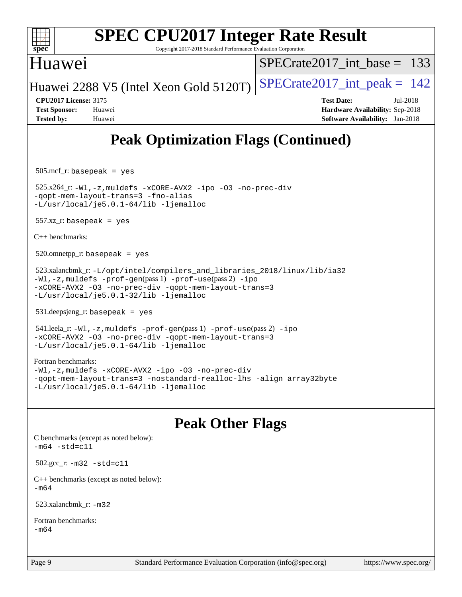

Copyright 2017-2018 Standard Performance Evaluation Corporation

### Huawei

[SPECrate2017\\_int\\_base =](http://www.spec.org/auto/cpu2017/Docs/result-fields.html#SPECrate2017intbase) 133

Huawei 2288 V5 (Intel Xeon Gold 5120T) SPECrate  $2017$ \_int\_peak = 142

**[CPU2017 License:](http://www.spec.org/auto/cpu2017/Docs/result-fields.html#CPU2017License)** 3175 **[Test Date:](http://www.spec.org/auto/cpu2017/Docs/result-fields.html#TestDate)** Jul-2018 **[Test Sponsor:](http://www.spec.org/auto/cpu2017/Docs/result-fields.html#TestSponsor)** Huawei **[Hardware Availability:](http://www.spec.org/auto/cpu2017/Docs/result-fields.html#HardwareAvailability)** Sep-2018 **[Tested by:](http://www.spec.org/auto/cpu2017/Docs/result-fields.html#Testedby)** Huawei **[Software Availability:](http://www.spec.org/auto/cpu2017/Docs/result-fields.html#SoftwareAvailability)** Jan-2018

# **[Peak Optimization Flags \(Continued\)](http://www.spec.org/auto/cpu2017/Docs/result-fields.html#PeakOptimizationFlags)**

505.mcf\_r: basepeak = yes

 525.x264\_r: [-Wl,-z,muldefs](http://www.spec.org/cpu2017/results/res2018q4/cpu2017-20181011-09148.flags.html#user_peakEXTRA_LDFLAGS525_x264_r_link_force_multiple1_b4cbdb97b34bdee9ceefcfe54f4c8ea74255f0b02a4b23e853cdb0e18eb4525ac79b5a88067c842dd0ee6996c24547a27a4b99331201badda8798ef8a743f577) [-xCORE-AVX2](http://www.spec.org/cpu2017/results/res2018q4/cpu2017-20181011-09148.flags.html#user_peakCOPTIMIZE525_x264_r_f-xCORE-AVX2) [-ipo](http://www.spec.org/cpu2017/results/res2018q4/cpu2017-20181011-09148.flags.html#user_peakCOPTIMIZE525_x264_r_f-ipo) [-O3](http://www.spec.org/cpu2017/results/res2018q4/cpu2017-20181011-09148.flags.html#user_peakCOPTIMIZE525_x264_r_f-O3) [-no-prec-div](http://www.spec.org/cpu2017/results/res2018q4/cpu2017-20181011-09148.flags.html#user_peakCOPTIMIZE525_x264_r_f-no-prec-div) [-qopt-mem-layout-trans=3](http://www.spec.org/cpu2017/results/res2018q4/cpu2017-20181011-09148.flags.html#user_peakCOPTIMIZE525_x264_r_f-qopt-mem-layout-trans_de80db37974c74b1f0e20d883f0b675c88c3b01e9d123adea9b28688d64333345fb62bc4a798493513fdb68f60282f9a726aa07f478b2f7113531aecce732043) [-fno-alias](http://www.spec.org/cpu2017/results/res2018q4/cpu2017-20181011-09148.flags.html#user_peakEXTRA_OPTIMIZE525_x264_r_f-no-alias_77dbac10d91cbfe898fbf4a29d1b29b694089caa623bdd1baccc9957d4edbe8d106c0b357e2748a65b44fc9e83d78098bb898077f3fe92f9faf24f7bd4a07ed7) [-L/usr/local/je5.0.1-64/lib](http://www.spec.org/cpu2017/results/res2018q4/cpu2017-20181011-09148.flags.html#user_peakEXTRA_LIBS525_x264_r_jemalloc_link_path64_4b10a636b7bce113509b17f3bd0d6226c5fb2346b9178c2d0232c14f04ab830f976640479e5c33dc2bcbbdad86ecfb6634cbbd4418746f06f368b512fced5394) [-ljemalloc](http://www.spec.org/cpu2017/results/res2018q4/cpu2017-20181011-09148.flags.html#user_peakEXTRA_LIBS525_x264_r_jemalloc_link_lib_d1249b907c500fa1c0672f44f562e3d0f79738ae9e3c4a9c376d49f265a04b9c99b167ecedbf6711b3085be911c67ff61f150a17b3472be731631ba4d0471706)

 $557.xz$  r: basepeak = yes

[C++ benchmarks:](http://www.spec.org/auto/cpu2017/Docs/result-fields.html#CXXbenchmarks)

 $520.$ omnetpp\_r: basepeak = yes

 523.xalancbmk\_r: [-L/opt/intel/compilers\\_and\\_libraries\\_2018/linux/lib/ia32](http://www.spec.org/cpu2017/results/res2018q4/cpu2017-20181011-09148.flags.html#user_peakCXXLD523_xalancbmk_r_Enable-32bit-runtime_af243bdb1d79e4c7a4f720bf8275e627de2ecd461de63307bc14cef0633fde3cd7bb2facb32dcc8be9566045fb55d40ce2b72b725f73827aa7833441b71b9343) [-Wl,-z,muldefs](http://www.spec.org/cpu2017/results/res2018q4/cpu2017-20181011-09148.flags.html#user_peakEXTRA_LDFLAGS523_xalancbmk_r_link_force_multiple1_b4cbdb97b34bdee9ceefcfe54f4c8ea74255f0b02a4b23e853cdb0e18eb4525ac79b5a88067c842dd0ee6996c24547a27a4b99331201badda8798ef8a743f577) [-prof-gen](http://www.spec.org/cpu2017/results/res2018q4/cpu2017-20181011-09148.flags.html#user_peakPASS1_CXXFLAGSPASS1_LDFLAGS523_xalancbmk_r_prof_gen_5aa4926d6013ddb2a31985c654b3eb18169fc0c6952a63635c234f711e6e63dd76e94ad52365559451ec499a2cdb89e4dc58ba4c67ef54ca681ffbe1461d6b36)(pass 1) [-prof-use](http://www.spec.org/cpu2017/results/res2018q4/cpu2017-20181011-09148.flags.html#user_peakPASS2_CXXFLAGSPASS2_LDFLAGS523_xalancbmk_r_prof_use_1a21ceae95f36a2b53c25747139a6c16ca95bd9def2a207b4f0849963b97e94f5260e30a0c64f4bb623698870e679ca08317ef8150905d41bd88c6f78df73f19)(pass 2) [-ipo](http://www.spec.org/cpu2017/results/res2018q4/cpu2017-20181011-09148.flags.html#user_peakPASS1_CXXOPTIMIZEPASS2_CXXOPTIMIZE523_xalancbmk_r_f-ipo) [-xCORE-AVX2](http://www.spec.org/cpu2017/results/res2018q4/cpu2017-20181011-09148.flags.html#user_peakPASS2_CXXOPTIMIZE523_xalancbmk_r_f-xCORE-AVX2) [-O3](http://www.spec.org/cpu2017/results/res2018q4/cpu2017-20181011-09148.flags.html#user_peakPASS1_CXXOPTIMIZEPASS2_CXXOPTIMIZE523_xalancbmk_r_f-O3) [-no-prec-div](http://www.spec.org/cpu2017/results/res2018q4/cpu2017-20181011-09148.flags.html#user_peakPASS1_CXXOPTIMIZEPASS2_CXXOPTIMIZE523_xalancbmk_r_f-no-prec-div) [-qopt-mem-layout-trans=3](http://www.spec.org/cpu2017/results/res2018q4/cpu2017-20181011-09148.flags.html#user_peakPASS1_CXXOPTIMIZEPASS2_CXXOPTIMIZE523_xalancbmk_r_f-qopt-mem-layout-trans_de80db37974c74b1f0e20d883f0b675c88c3b01e9d123adea9b28688d64333345fb62bc4a798493513fdb68f60282f9a726aa07f478b2f7113531aecce732043) [-L/usr/local/je5.0.1-32/lib](http://www.spec.org/cpu2017/results/res2018q4/cpu2017-20181011-09148.flags.html#user_peakEXTRA_LIBS523_xalancbmk_r_jemalloc_link_path32_e29f22e8e6c17053bbc6a0971f5a9c01a601a06bb1a59df2084b77a2fe0a2995b64fd4256feaeea39eeba3aae142e96e2b2b0a28974019c0c0c88139a84f900a) [-ljemalloc](http://www.spec.org/cpu2017/results/res2018q4/cpu2017-20181011-09148.flags.html#user_peakEXTRA_LIBS523_xalancbmk_r_jemalloc_link_lib_d1249b907c500fa1c0672f44f562e3d0f79738ae9e3c4a9c376d49f265a04b9c99b167ecedbf6711b3085be911c67ff61f150a17b3472be731631ba4d0471706)

531.deepsjeng\_r: basepeak = yes

```
 541.leela_r: -Wl,-z,muldefs -prof-gen(pass 1) -prof-use(pass 2) -ipo
-xCORE-AVX2 -O3 -no-prec-div -qopt-mem-layout-trans=3
-L/usr/local/je5.0.1-64/lib -ljemalloc
```
[Fortran benchmarks](http://www.spec.org/auto/cpu2017/Docs/result-fields.html#Fortranbenchmarks): [-Wl,-z,muldefs](http://www.spec.org/cpu2017/results/res2018q4/cpu2017-20181011-09148.flags.html#user_FCpeak_link_force_multiple1_b4cbdb97b34bdee9ceefcfe54f4c8ea74255f0b02a4b23e853cdb0e18eb4525ac79b5a88067c842dd0ee6996c24547a27a4b99331201badda8798ef8a743f577) [-xCORE-AVX2](http://www.spec.org/cpu2017/results/res2018q4/cpu2017-20181011-09148.flags.html#user_FCpeak_f-xCORE-AVX2) [-ipo](http://www.spec.org/cpu2017/results/res2018q4/cpu2017-20181011-09148.flags.html#user_FCpeak_f-ipo) [-O3](http://www.spec.org/cpu2017/results/res2018q4/cpu2017-20181011-09148.flags.html#user_FCpeak_f-O3) [-no-prec-div](http://www.spec.org/cpu2017/results/res2018q4/cpu2017-20181011-09148.flags.html#user_FCpeak_f-no-prec-div) [-qopt-mem-layout-trans=3](http://www.spec.org/cpu2017/results/res2018q4/cpu2017-20181011-09148.flags.html#user_FCpeak_f-qopt-mem-layout-trans_de80db37974c74b1f0e20d883f0b675c88c3b01e9d123adea9b28688d64333345fb62bc4a798493513fdb68f60282f9a726aa07f478b2f7113531aecce732043) [-nostandard-realloc-lhs](http://www.spec.org/cpu2017/results/res2018q4/cpu2017-20181011-09148.flags.html#user_FCpeak_f_2003_std_realloc_82b4557e90729c0f113870c07e44d33d6f5a304b4f63d4c15d2d0f1fab99f5daaed73bdb9275d9ae411527f28b936061aa8b9c8f2d63842963b95c9dd6426b8a) [-align array32byte](http://www.spec.org/cpu2017/results/res2018q4/cpu2017-20181011-09148.flags.html#user_FCpeak_align_array32byte_b982fe038af199962ba9a80c053b8342c548c85b40b8e86eb3cc33dee0d7986a4af373ac2d51c3f7cf710a18d62fdce2948f201cd044323541f22fc0fffc51b6) [-L/usr/local/je5.0.1-64/lib](http://www.spec.org/cpu2017/results/res2018q4/cpu2017-20181011-09148.flags.html#user_FCpeak_jemalloc_link_path64_4b10a636b7bce113509b17f3bd0d6226c5fb2346b9178c2d0232c14f04ab830f976640479e5c33dc2bcbbdad86ecfb6634cbbd4418746f06f368b512fced5394) [-ljemalloc](http://www.spec.org/cpu2017/results/res2018q4/cpu2017-20181011-09148.flags.html#user_FCpeak_jemalloc_link_lib_d1249b907c500fa1c0672f44f562e3d0f79738ae9e3c4a9c376d49f265a04b9c99b167ecedbf6711b3085be911c67ff61f150a17b3472be731631ba4d0471706)

## **[Peak Other Flags](http://www.spec.org/auto/cpu2017/Docs/result-fields.html#PeakOtherFlags)**

[C benchmarks \(except as noted below\)](http://www.spec.org/auto/cpu2017/Docs/result-fields.html#Cbenchmarksexceptasnotedbelow):  $-m64 - std= c11$  $-m64 - std= c11$ 

502.gcc\_r: [-m32](http://www.spec.org/cpu2017/results/res2018q4/cpu2017-20181011-09148.flags.html#user_peakCCLD502_gcc_r_intel_ia32_18.0_2666f1173eb60787016b673bfe1358e27016ef7649ea4884b7bc6187fd89dc221d14632e22638cde1c647a518de97358ab15d4ad098ee4e19a8b28d0c25e14bf) [-std=c11](http://www.spec.org/cpu2017/results/res2018q4/cpu2017-20181011-09148.flags.html#user_peakCCLD502_gcc_r_intel_compiler_c11_mode_0e1c27790398a4642dfca32ffe6c27b5796f9c2d2676156f2e42c9c44eaad0c049b1cdb667a270c34d979996257aeb8fc440bfb01818dbc9357bd9d174cb8524)

[C++ benchmarks \(except as noted below\):](http://www.spec.org/auto/cpu2017/Docs/result-fields.html#CXXbenchmarksexceptasnotedbelow) [-m64](http://www.spec.org/cpu2017/results/res2018q4/cpu2017-20181011-09148.flags.html#user_CXXpeak_intel_intel64_18.0_af43caccfc8ded86e7699f2159af6efc7655f51387b94da716254467f3c01020a5059329e2569e4053f409e7c9202a7efc638f7a6d1ffb3f52dea4a3e31d82ab)

523.xalancbmk\_r: [-m32](http://www.spec.org/cpu2017/results/res2018q4/cpu2017-20181011-09148.flags.html#user_peakCXXLD523_xalancbmk_r_intel_ia32_18.0_2666f1173eb60787016b673bfe1358e27016ef7649ea4884b7bc6187fd89dc221d14632e22638cde1c647a518de97358ab15d4ad098ee4e19a8b28d0c25e14bf)

[Fortran benchmarks](http://www.spec.org/auto/cpu2017/Docs/result-fields.html#Fortranbenchmarks): [-m64](http://www.spec.org/cpu2017/results/res2018q4/cpu2017-20181011-09148.flags.html#user_FCpeak_intel_intel64_18.0_af43caccfc8ded86e7699f2159af6efc7655f51387b94da716254467f3c01020a5059329e2569e4053f409e7c9202a7efc638f7a6d1ffb3f52dea4a3e31d82ab)